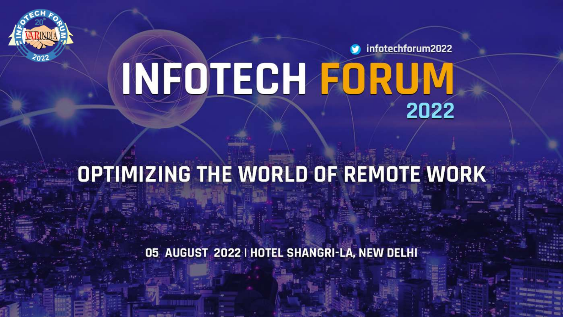

infotechforum2022 **INFOTECH FORUM** 2022

# OPTIMIZING THE WORLD OF REMOTE WORK

05 AUGUST 2022 | HOTEL SHANGRI-LA, NEW DELHI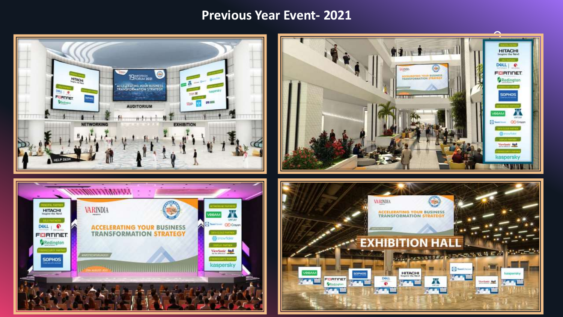#### **Previous Year Event- 2021**

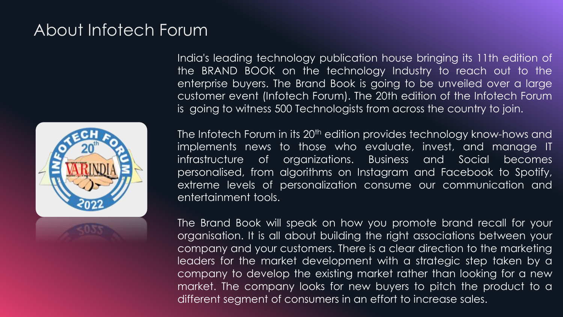## About Infotech Forum



India's leading technology publication house bringing its 11th edition of the BRAND BOOK on the technology Industry to reach out to the enterprise buyers. The Brand Book is going to be unveiled over a large customer event (Infotech Forum). The 20th edition of the Infotech Forum is going to witness 500 Technologists from across the country to join.

The Infotech Forum in its 20<sup>th</sup> edition provides technology know-hows and implements news to those who evaluate, invest, and manage IT infrastructure of organizations. Business and Social becomes personalised, from algorithms on Instagram and Facebook to Spotify, extreme levels of personalization consume our communication and entertainment tools.

The Brand Book will speak on how you promote brand recall for your organisation. It is all about building the right associations between your company and your customers. There is a clear direction to the marketing leaders for the market development with a strategic step taken by a company to develop the existing market rather than looking for a new market. The company looks for new buyers to pitch the product to a different segment of consumers in an effort to increase sales.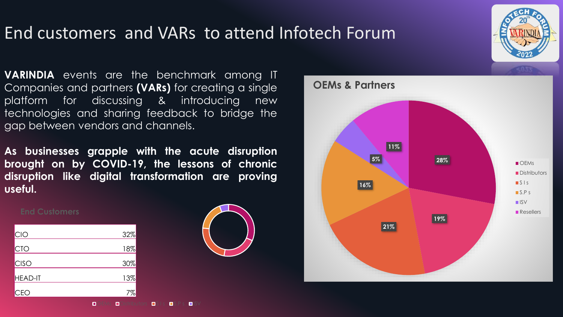## End customers and VARs to attend Infotech Forum

**VARINDIA** events are the benchmark among IT Companies and partners **(VARs)** for creating a single platform for discussing & introducing new technologies and sharing feedback to bridge the gap between vendors and channels.

**As businesses grapple with the acute disruption brought on by COVID-19, the lessons of chronic disruption like digital transformation are proving useful.**

OEMs **Distributors DSIS DSPS DISV** 

#### **End Customers**

| <b>CIO</b>     | 32% |
|----------------|-----|
| <b>CTO</b>     | 18% |
| <b>CISO</b>    | 30% |
| <b>HEAD-IT</b> | 13% |
| CEO            | 7%  |





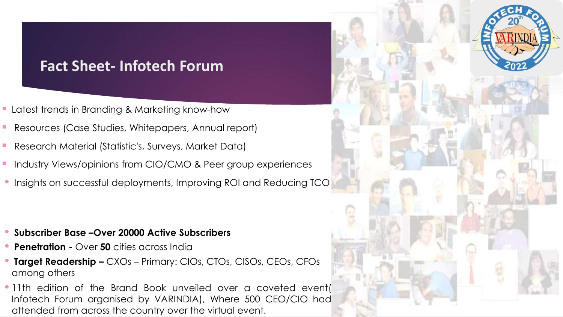### **Fact Sheet- Infotech Forum**

- **E** Latest trends in Branding & Marketing know-how
- Resources (Case Studies, Whitepapers, Annual report)
- Research Material (Statistic's, Surveys, Market Data)
- Industry Views/opinions from CIO/CMO & Peer group experiences
- Insights on successful deployments, Improving ROI and Reducing TCO

- **Subscriber Base –Over 20000 Active Subscribers**
- **Penetration -** Over **50** cities across India
- **Target Readership –** CXOs Primary: CIOs, CTOs, CISOs, CEOs, CFOs among others
- •11th edition of the Brand Book unveiled over a coveted event( Infotech Forum organised by VARINDIA), Where 500 CEO/CIO had attended from across the country over the virtual event.

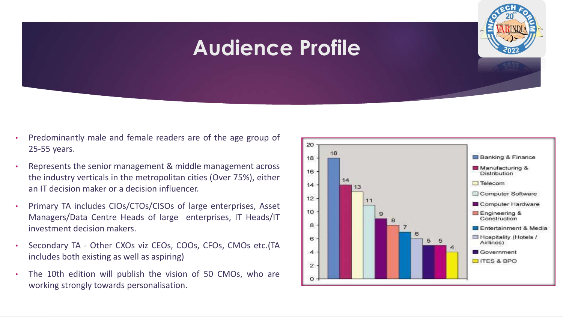## **Audience Profile**

- Predominantly male and female readers are of the age group of 25-55 years.
- Represents the senior management & middle management across the industry verticals in the metropolitan cities (Over 75%), either an IT decision maker or a decision influencer.
- Primary TA includes CIOs/CTOs/CISOs of large enterprises, Asset Managers/Data Centre Heads of large enterprises, IT Heads/IT investment decision makers.
- Secondary TA Other CXOs viz CEOs, COOs, CFOs, CMOs etc.(TA includes both existing as well as aspiring)
- The 10th edition will publish the vision of 50 CMOs, who are working strongly towards personalisation.



**645**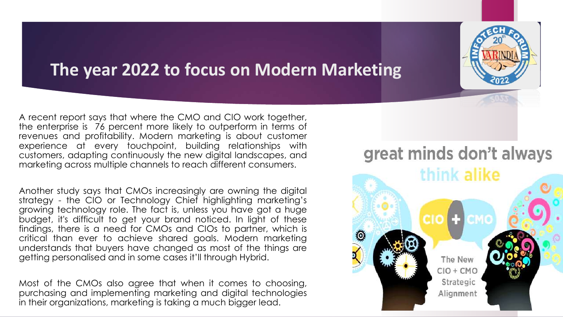## **The year 2022 to focus on Modern Marketing**

A recent report says that where the CMO and CIO work together, the enterprise is 76 percent more likely to outperform in terms of revenues and profitability. Modern marketing is about customer experience at every touchpoint, building relationships with customers, adapting continuously the new digital landscapes, and marketing across multiple channels to reach different consumers.

Another study says that CMOs increasingly are owning the digital strategy - the CIO or Technology Chief highlighting marketing's growing technology role. The fact is, unless you have got a huge budget, it's difficult to get your brand noticed. In light of these findings, there is a need for CMOs and CIOs to partner, which is critical than ever to achieve shared goals. Modern marketing understands that buyers have changed as most of the things are getting personalised and in some cases it'll through Hybrid.

Most of the CMOs also agree that when it comes to choosing, purchasing and implementing marketing and digital technologies in their organizations, marketing is taking a much bigger lead.

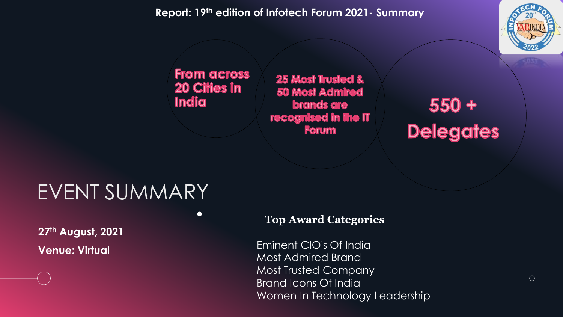#### **Report: 19th edition of Infotech Forum 2021- Summary**



#### **From across 20 Cities in** India

**25 Most Trusted & 50 Most Admired** brands are recognised in the IT **Forum** 

# 550 +<br>Delegates

## EVENT SUMMARY

**27th August, 2021 Venue: Virtual**

#### **Top Award Categories**

Eminent CIO's Of India Most Admired Brand Most Trusted Company Brand Icons Of India Women In Technology Leadership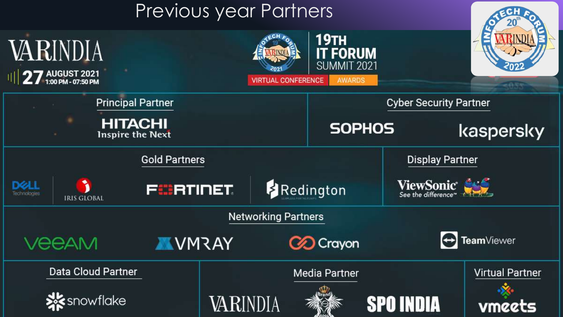